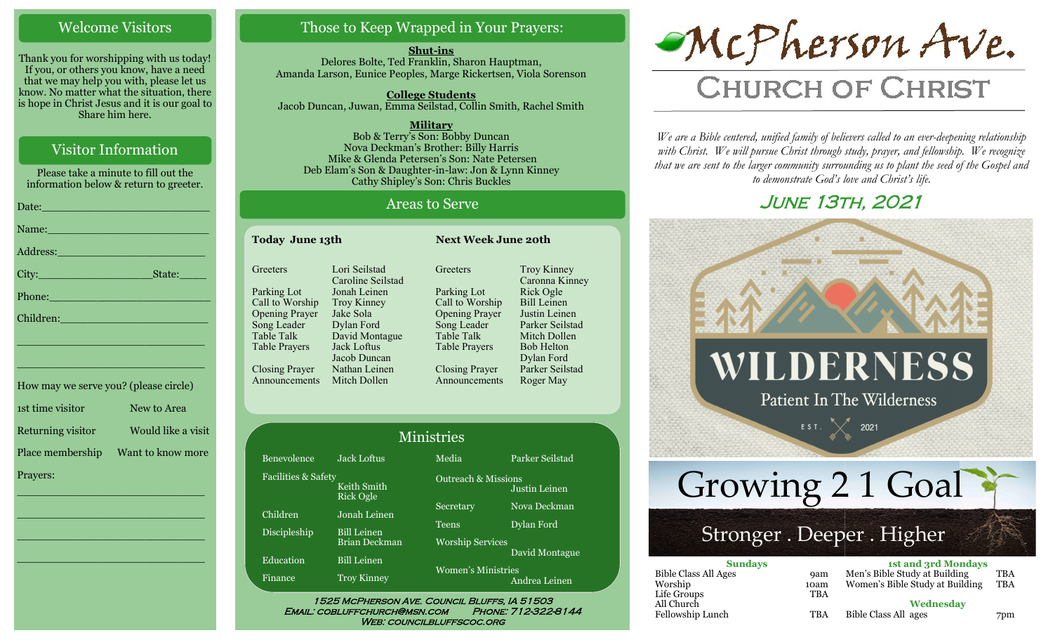## Welcome Visitors

Thank you for worshipping with us today! If you, or others you know, have a need that we may help you with, please let us know. No matter what the situation, there is hope in Christ Jesus and it is our goal to Share him here.

## Visitor Information

Please take a minute to fill out the information below & return to greeter.

| Phone: New York Street, New York Street, New York Street, New York Street, New York Street, New York Street, N       |  |
|----------------------------------------------------------------------------------------------------------------------|--|
| Children: National Children Children                                                                                 |  |
| <u> 1989 - Johann Stein, marwolaethau a bhann an t-Amhain Aonaich an t-Amhain Aonaich an t-Amhain Aonaich an t-A</u> |  |
| <u> 1999 - Johann Barn, mars eta bainar eta bainar eta baina eta baina eta baina eta baina eta baina eta baina e</u> |  |
| How may we serve you? (please circle)                                                                                |  |
| 1st time visitor New to Area                                                                                         |  |

| Returning visitor | Would like a visit |
|-------------------|--------------------|
| Place membership  | Want to know more  |
| Prayers:          |                    |

\_\_\_\_\_\_\_\_\_\_\_\_\_\_\_\_\_\_\_\_\_\_\_\_\_\_\_\_

 $\overline{\phantom{a}}$  , and the set of the set of the set of the set of the set of the set of the set of the set of the set of the set of the set of the set of the set of the set of the set of the set of the set of the set of the s

 $\overline{\phantom{a}}$  , and the set of the set of the set of the set of the set of the set of the set of the set of the set of the set of the set of the set of the set of the set of the set of the set of the set of the set of the s

\_\_\_\_\_\_\_\_\_\_\_\_\_\_\_\_\_\_\_\_\_\_\_\_\_\_\_\_

## Those to Keep Wrapped in Your Prayers:

**Shut-ins** Delores Bolte, Ted Franklin, Sharon Hauptman, Amanda Larson, Eunice Peoples, Marge Rickertsen, Viola Sorenson

**College Students**  Jacob Duncan, Juwan, Emma Seilstad, Collin Smith, Rachel Smith

**Military** Bob & Terry's Son: Bobby Duncan Nova Deckman's Brother: Billy Harris Mike & Glenda Petersen's Son: Nate Petersen Deb Elam's Son & Daughter-in-law: Jon & Lynn Kinney Cathy Shipley's Son: Chris Buckles

## Areas to Serve

| <b>Today June 13th</b> |                                    | <b>Next Week June 20th</b> |                               |
|------------------------|------------------------------------|----------------------------|-------------------------------|
| Greeters               | Lori Seilstad<br>Caroline Seilstad | Greeters                   | Troy Kinney<br>Caronna Kinney |
| Parking Lot            | Jonah Leinen                       | Parking Lot                | Rick Ogle                     |
| Call to Worship        | <b>Troy Kinney</b>                 | Call to Worship            | <b>Bill Leinen</b>            |
| <b>Opening Prayer</b>  | Jake Sola                          | <b>Opening Prayer</b>      | Justin Leinen                 |
| Song Leader            | Dylan Ford                         | Song Leader                | Parker Seilstad               |
| <b>Table Talk</b>      | David Montague                     | Table Talk                 | Mitch Dollen                  |
| <b>Table Prayers</b>   | Jack Loftus                        | <b>Table Prayers</b>       | <b>Bob Helton</b>             |
|                        | Jacob Duncan                       |                            | Dylan Ford                    |
| <b>Closing Prayer</b>  | Nathan Leinen                      | <b>Closing Prayer</b>      | Parker Seilstad               |
| Announcements          | Mitch Dollen                       | Announcements              | Roger May                     |

|                                |                                 | <b>Ministries</b>                          |                 |
|--------------------------------|---------------------------------|--------------------------------------------|-----------------|
| Benevolence                    | Jack Loftus                     | Media                                      | Parker Seilstad |
| <b>Facilities &amp; Safety</b> | Keith Smith<br><b>Rick Ogle</b> | <b>Outreach &amp; Missions</b>             | Justin Leinen   |
| Children                       | Jonah Leinen                    | Secretary                                  | Nova Deckman    |
| Discipleship                   | <b>Bill Leinen</b>              | <b>Teens</b>                               | Dylan Ford      |
|                                | Brian Deckman                   | <b>Worship Services</b>                    |                 |
| Education                      | <b>Bill Leinen</b>              |                                            | David Montague  |
| Finance                        | <b>Troy Kinney</b>              | <b>Women's Ministries</b><br>Andrea Leinen |                 |

WEB: COUNCILBLUFFSCOC.ORG



# **CHURCH OF CHRIST**

*We are a Bible centered, unified family of believers called to an ever-deepening relationship*  with Christ. We will pursue Christ through study, prayer, and fellowship. We recognize *that we are sent to the larger community surrounding us to plant the seed of the Gospel and to demonstrate God's love and Christ's life.*

## June 13th, 2021